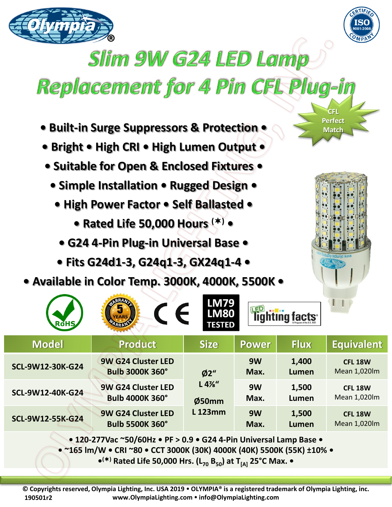



## **Slim 9W G24 LED Lamp**

## Replacement for 4 Pin CFL Plug-in

- **Built-in Surge Suppressors & Protection •**
- **Bright • High CRI • High Lumen Output •**
- **Suitable for Open & Enclosed Fixtures •**
	- **Simple Installation Rugged Design •**
		- **High Power Factor Self Ballasted** 
			- **Rated Life 50,000 Hours () •**
			- **G24 4-Pin Plug-in Universal Base**
		- **Fits G24d1-3, G24q1-3, GX24q1-4 •**
- **Available in Color Temp. 3000K, 4000K, 5500K •**

**ODAY** 



**CFL Perfect Match** 

| <b>RoHS</b>                                                                                                                | $\epsilon$<br>EARS/                          | LMI/9<br><b>LM80</b><br><b>TESTED</b> |              | <b>Tighting facts</b> |                                |
|----------------------------------------------------------------------------------------------------------------------------|----------------------------------------------|---------------------------------------|--------------|-----------------------|--------------------------------|
| <b>Model</b>                                                                                                               | <b>Product</b>                               | <b>Size</b>                           | <b>Power</b> | <b>Flux</b>           | <b>Equivalent</b>              |
| SCL-9W12-30K-G24                                                                                                           | 9W G24 Cluster LED<br><b>Bulb 3000K 360°</b> | Ø2"                                   | 9W<br>Max.   | 1,400<br>Lumen        | <b>CFL 18W</b><br>Mean 1,020lm |
| SCL-9W12-40K-G24                                                                                                           | 9W G24 Cluster LED<br><b>Bulb 4000K 360°</b> | L 4%''<br>Ø50mm                       | 9W<br>Max.   | 1,500<br>Lumen        | <b>CFL 18W</b><br>Mean 1,020lm |
| SCL-9W12-55K-G24                                                                                                           | 9W G24 Cluster LED<br><b>Bulb 5500K 360°</b> | <b>L123mm</b>                         | 9W<br>Max.   | 1,500<br>Lumen        | <b>CFL 18W</b><br>Mean 1,020lm |
| $\bullet$ 120.277 Vac "50/6047 $\bullet$ DE $\setminus$ 0.9 $\bullet$ C <sub>24</sub> 4. Din Universal Lamp Base $\bullet$ |                                              |                                       |              |                       |                                |

**• 120-277Vac ~50/60Hz • PF > 0.9 • G24 4-Pin Universal Lamp Base •**

**• ~165 lm/W • CRI ~80 • CCT 3000K (30K) 4000K (40K) 5500K (55K) ±10% •**

**• () Rated Life 50,000 Hrs. (L<sup>70</sup> B50) at T[A] 25°C Max. •**

**© Copyrights reserved, Olympia Lighting, Inc. USA 2019 OLYMPIA® is a registered trademark of Olympia Lighting, inc. www.OlympiaLighting.com info@OlympiaLighting.com 190501r2**